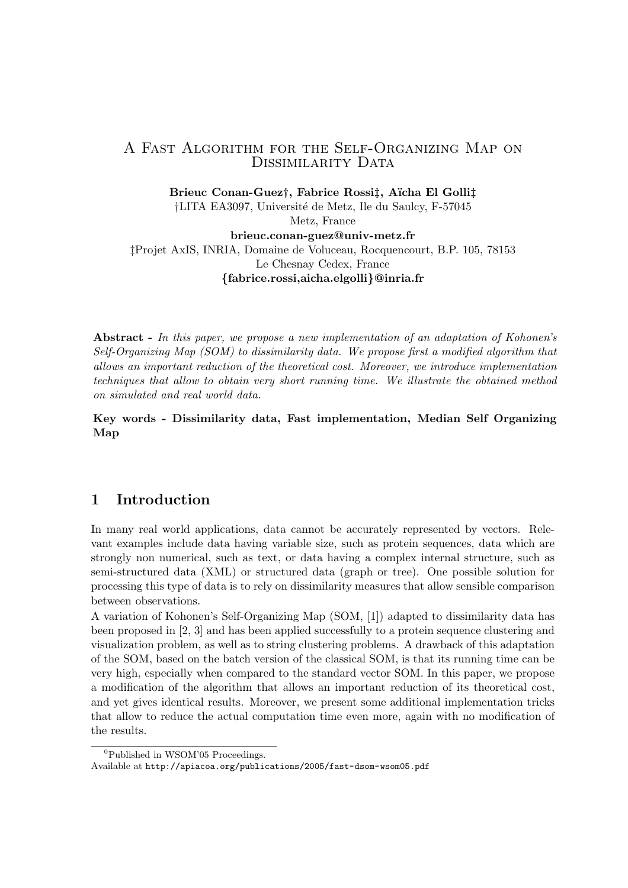## A Fast Algorithm for the Self-Organizing Map on DISSIMILARITY DATA

Brieuc Conan-Guezt, Fabrice Rossit, Aïcha El Gollit

†LITA EA3097, Universit´e de Metz, Ile du Saulcy, F-57045 Metz, France

brieuc.conan-guez@univ-metz.fr ‡Projet AxIS, INRIA, Domaine de Voluceau, Rocquencourt, B.P. 105, 78153 Le Chesnay Cedex, France {fabrice.rossi,aicha.elgolli}@inria.fr

Abstract - In this paper, we propose a new implementation of an adaptation of Kohonen's Self-Organizing Map (SOM) to dissimilarity data. We propose first a modified algorithm that allows an important reduction of the theoretical cost. Moreover, we introduce implementation techniques that allow to obtain very short running time. We illustrate the obtained method on simulated and real world data.

Key words - Dissimilarity data, Fast implementation, Median Self Organizing Map

# 1 Introduction

In many real world applications, data cannot be accurately represented by vectors. Relevant examples include data having variable size, such as protein sequences, data which are strongly non numerical, such as text, or data having a complex internal structure, such as semi-structured data (XML) or structured data (graph or tree). One possible solution for processing this type of data is to rely on dissimilarity measures that allow sensible comparison between observations.

A variation of Kohonen's Self-Organizing Map (SOM, [1]) adapted to dissimilarity data has been proposed in [2, 3] and has been applied successfully to a protein sequence clustering and visualization problem, as well as to string clustering problems. A drawback of this adaptation of the SOM, based on the batch version of the classical SOM, is that its running time can be very high, especially when compared to the standard vector SOM. In this paper, we propose a modification of the algorithm that allows an important reduction of its theoretical cost, and yet gives identical results. Moreover, we present some additional implementation tricks that allow to reduce the actual computation time even more, again with no modification of the results.

<sup>0</sup>Published in WSOM'05 Proceedings.

Available at http://apiacoa.org/publications/2005/fast-dsom-wsom05.pdf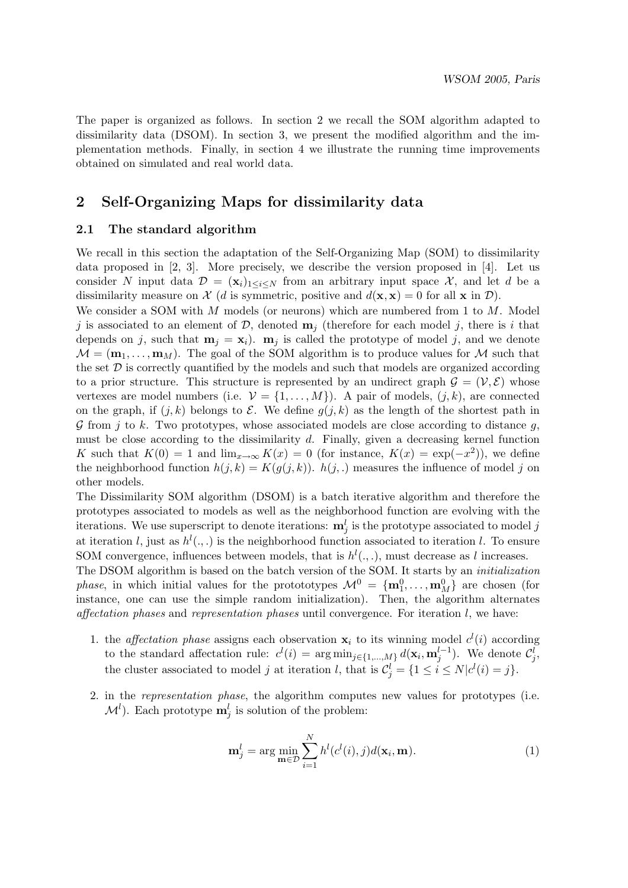The paper is organized as follows. In section 2 we recall the SOM algorithm adapted to dissimilarity data (DSOM). In section 3, we present the modified algorithm and the implementation methods. Finally, in section 4 we illustrate the running time improvements obtained on simulated and real world data.

# 2 Self-Organizing Maps for dissimilarity data

### 2.1 The standard algorithm

We recall in this section the adaptation of the Self-Organizing Map (SOM) to dissimilarity data proposed in [2, 3]. More precisely, we describe the version proposed in [4]. Let us consider N input data  $\mathcal{D} = (\mathbf{x}_i)_{1 \leq i \leq N}$  from an arbitrary input space X, and let d be a dissimilarity measure on  $\mathcal{X}$  (d is symmetric, positive and  $d(\mathbf{x}, \mathbf{x}) = 0$  for all  $\mathbf{x}$  in  $\mathcal{D}$ ).

We consider a SOM with M models (or neurons) which are numbered from 1 to  $M$ . Model j is associated to an element of  $\mathcal{D}$ , denoted  $\mathbf{m}_j$  (therefore for each model j, there is i that depends on j, such that  $m_i = x_i$ ).  $m_j$  is called the prototype of model j, and we denote  $\mathcal{M} = (\mathbf{m}_1, \dots, \mathbf{m}_M)$ . The goal of the SOM algorithm is to produce values for M such that the set  $\mathcal D$  is correctly quantified by the models and such that models are organized according to a prior structure. This structure is represented by an undirect graph  $\mathcal{G} = (\mathcal{V}, \mathcal{E})$  whose vertexes are model numbers (i.e.  $\mathcal{V} = \{1, \ldots, M\}$ ). A pair of models,  $(j, k)$ , are connected on the graph, if  $(j, k)$  belongs to  $\mathcal E$ . We define  $q(j, k)$  as the length of the shortest path in  $\mathcal G$  from j to k. Two prototypes, whose associated models are close according to distance g, must be close according to the dissimilarity  $d$ . Finally, given a decreasing kernel function K such that  $K(0) = 1$  and  $\lim_{x\to\infty} K(x) = 0$  (for instance,  $K(x) = \exp(-x^2)$ ), we define the neighborhood function  $h(j, k) = K(q(j, k))$ .  $h(j, k)$  measures the influence of model j on other models.

The Dissimilarity SOM algorithm (DSOM) is a batch iterative algorithm and therefore the prototypes associated to models as well as the neighborhood function are evolving with the iterations. We use superscript to denote iterations:  $\mathbf{m}_j^l$  is the prototype associated to model  $j$ at iteration l, just as  $h^l(.,.)$  is the neighborhood function associated to iteration l. To ensure SOM convergence, influences between models, that is  $h^l(.,.)$ , must decrease as l increases.

The DSOM algorithm is based on the batch version of the SOM. It starts by an initialization *phase*, in which initial values for the protototypes  $M^0 = {\bf m}_1^0, \ldots, {\bf m}_M^0$  are chosen (for instance, one can use the simple random initialization). Then, the algorithm alternates affectation phases and representation phases until convergence. For iteration  $l$ , we have:

- 1. the *affectation phase* assigns each observation  $x_i$  to its winning model  $c^l(i)$  according to the standard affectation rule:  $c^l(i) = \arg \min_{j \in \{1, ..., M\}} d(\mathbf{x}_i, \mathbf{m}_j^{l-1})$ . We denote  $\mathcal{C}_j^l$ , the cluster associated to model j at iteration l, that is  $\mathcal{C}_j^l = \{1 \le i \le N | c^l(i) = j\}.$
- 2. in the representation phase, the algorithm computes new values for prototypes (i.e.  $\mathcal{M}^l$ ). Each prototype  $\mathbf{m}_j^l$  is solution of the problem:

$$
\mathbf{m}_j^l = \arg\min_{\mathbf{m}\in\mathcal{D}} \sum_{i=1}^N h^l(c^l(i), j) d(\mathbf{x}_i, \mathbf{m}).
$$
\n(1)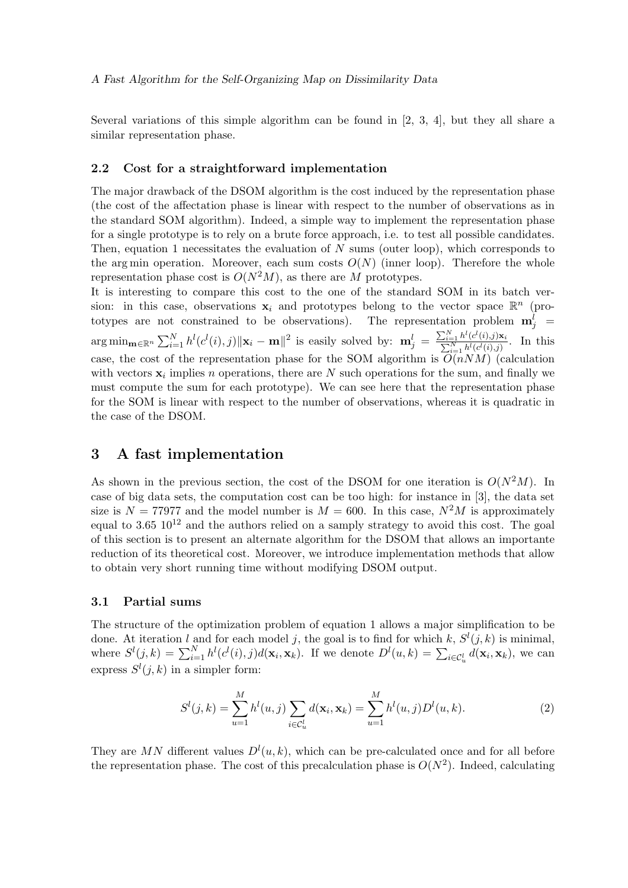Several variations of this simple algorithm can be found in [2, 3, 4], but they all share a similar representation phase.

#### 2.2 Cost for a straightforward implementation

The major drawback of the DSOM algorithm is the cost induced by the representation phase (the cost of the affectation phase is linear with respect to the number of observations as in the standard SOM algorithm). Indeed, a simple way to implement the representation phase for a single prototype is to rely on a brute force approach, i.e. to test all possible candidates. Then, equation 1 necessitates the evaluation of  $N$  sums (outer loop), which corresponds to the arg min operation. Moreover, each sum costs  $O(N)$  (inner loop). Therefore the whole representation phase cost is  $O(N^2M)$ , as there are M prototypes.

It is interesting to compare this cost to the one of the standard SOM in its batch version: in this case, observations  $x_i$  and prototypes belong to the vector space  $\mathbb{R}^n$  (prototypes are not constrained to be observations). The representation problem  $\mathbf{m}_j^l$  =  $\arg \min_{\mathbf{m}\in\mathbb{R}^n} \sum_{i=1}^N h^l(c^l(i),j) \|\mathbf{x}_i - \mathbf{m}\|^2$  is easily solved by:  $\mathbf{m}_j^l = \frac{\sum_{i=1}^N h^l(c^l(i),j)}{\sum_{i=1}^N h^l(c^l(i),j)}$  $\Sigma$  $\frac{\sum_{i=1}^{l} h^{l}(c^{l}(i),j)\mathbf{x}_{i}}{N}$ . In this case, the cost of the representation phase for the SOM algorithm is  $O(nNM)$  (calculation with vectors  $x_i$  implies n operations, there are N such operations for the sum, and finally we must compute the sum for each prototype). We can see here that the representation phase for the SOM is linear with respect to the number of observations, whereas it is quadratic in the case of the DSOM.

## 3 A fast implementation

As shown in the previous section, the cost of the DSOM for one iteration is  $O(N^2M)$ . In case of big data sets, the computation cost can be too high: for instance in [3], the data set size is  $N = 77977$  and the model number is  $M = 600$ . In this case,  $N^2M$  is approximately equal to 3.65  $10^{12}$  and the authors relied on a samply strategy to avoid this cost. The goal of this section is to present an alternate algorithm for the DSOM that allows an importante reduction of its theoretical cost. Moreover, we introduce implementation methods that allow to obtain very short running time without modifying DSOM output.

### 3.1 Partial sums

The structure of the optimization problem of equation 1 allows a major simplification to be done. At iteration l and for each model j, the goal is to find for which k,  $S^l(j, k)$  is minimal, where  $S^l(j,k) = \sum_{i=1}^N h^l(c^l(i),j)d(\mathbf{x}_i,\mathbf{x}_k)$ . If we denote  $D^l(u,k) = \sum_{i \in \mathcal{C}_u^l} d(\mathbf{x}_i,\mathbf{x}_k)$ , we can express  $S^l(j,k)$  in a simpler form:

$$
S^{l}(j,k) = \sum_{u=1}^{M} h^{l}(u,j) \sum_{i \in C_{u}^{l}} d(\mathbf{x}_{i}, \mathbf{x}_{k}) = \sum_{u=1}^{M} h^{l}(u,j) D^{l}(u,k).
$$
 (2)

They are MN different values  $D^{l}(u, k)$ , which can be pre-calculated once and for all before the representation phase. The cost of this precalculation phase is  $O(N^2)$ . Indeed, calculating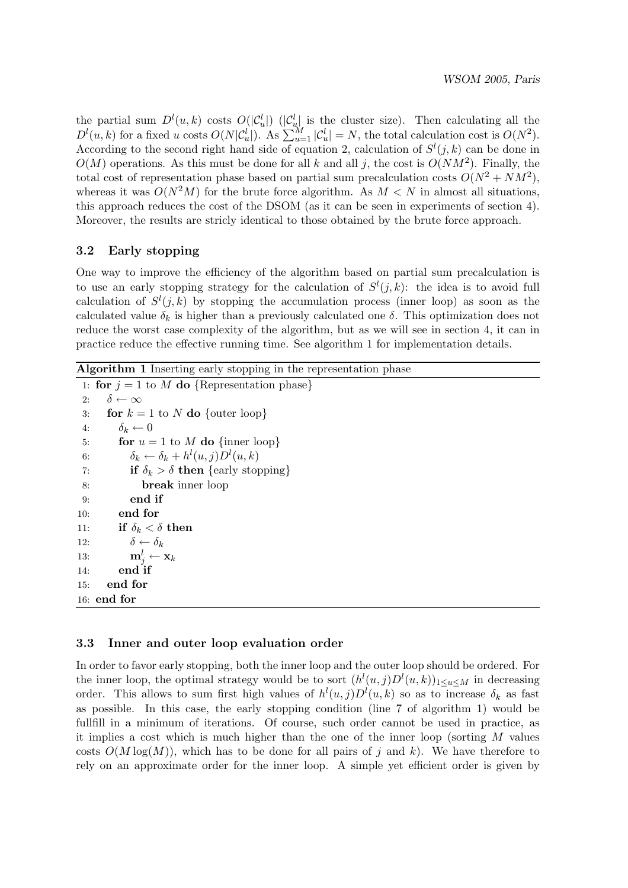the partial sum  $D^l(u,k)$  costs  $O(|\mathcal{C}_u^l|)$  ( $|\mathcal{C}_u^l|$  is the cluster size). Then calculating all the  $D^l(u,k)$  for a fixed u costs  $O(N|\mathcal{C}_u^l|)$ . As  $\sum_{u=1}^M |\mathcal{C}_u^l| = N$ , the total calculation cost is  $O(N^2)$ . According to the second right hand side of equation 2, calculation of  $S^l(j,k)$  can be done in  $O(M)$  operations. As this must be done for all k and all j, the cost is  $O(NM^2)$ . Finally, the total cost of representation phase based on partial sum precalculation costs  $O(N^2 + NM^2)$ , whereas it was  $O(N^2M)$  for the brute force algorithm. As  $M < N$  in almost all situations, this approach reduces the cost of the DSOM (as it can be seen in experiments of section 4). Moreover, the results are stricly identical to those obtained by the brute force approach.

## 3.2 Early stopping

One way to improve the efficiency of the algorithm based on partial sum precalculation is to use an early stopping strategy for the calculation of  $S^l(j,k)$ : the idea is to avoid full calculation of  $S^l(j,k)$  by stopping the accumulation process (inner loop) as soon as the calculated value  $\delta_k$  is higher than a previously calculated one  $\delta$ . This optimization does not reduce the worst case complexity of the algorithm, but as we will see in section 4, it can in practice reduce the effective running time. See algorithm 1 for implementation details.

# Algorithm 1 Inserting early stopping in the representation phase

1: for  $j = 1$  to  $\overline{M}$  do {Representation phase} 2:  $\delta \leftarrow \infty$ 3: for  $k = 1$  to N do {outer loop} 4:  $\delta_k \leftarrow 0$ 5: **for**  $u = 1$  to M **do** {inner loop} 6:  $\delta_k \leftarrow \delta_k + h^l(u, j)D^l(u, k)$ 7: **if**  $\delta_k > \delta$  **then** {early stopping} 8: break inner loop 9: end if 10: end for 11: if  $\delta_k < \delta$  then 12:  $\delta \leftarrow \delta_k$ 13:  $\mathbf{m}_j^l \leftarrow \mathbf{x}_k$ 14: end if 15: end for 16: end for

## 3.3 Inner and outer loop evaluation order

In order to favor early stopping, both the inner loop and the outer loop should be ordered. For the inner loop, the optimal strategy would be to sort  $(h^{l}(u, j)D^{l}(u, k))_{1 \le u \le M}$  in decreasing order. This allows to sum first high values of  $h^l(u, j)D^l(u, k)$  so as to increase  $\delta_k$  as fast as possible. In this case, the early stopping condition (line 7 of algorithm 1) would be fullfill in a minimum of iterations. Of course, such order cannot be used in practice, as it implies a cost which is much higher than the one of the inner loop (sorting  $M$  values costs  $O(M \log(M))$ , which has to be done for all pairs of j and k). We have therefore to rely on an approximate order for the inner loop. A simple yet efficient order is given by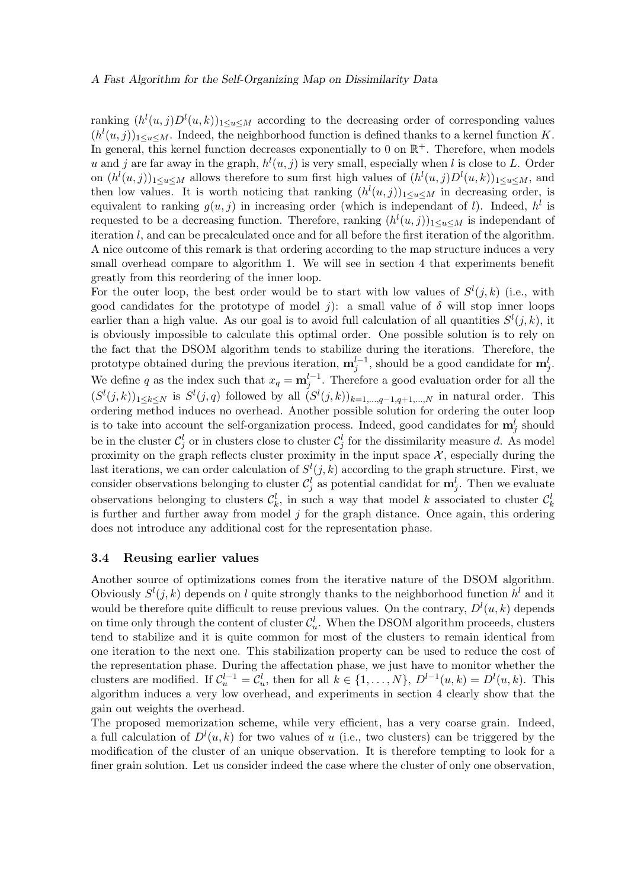### A Fast Algorithm for the Self-Organizing Map on Dissimilarity Data

ranking  $(h^l(u, j)D^l(u, k))_{1 \le u \le M}$  according to the decreasing order of corresponding values  $(h^l(u, j))_{1 \le u \le M}$ . Indeed, the neighborhood function is defined thanks to a kernel function K. In general, this kernel function decreases exponentially to 0 on  $\mathbb{R}^+$ . Therefore, when models u and j are far away in the graph,  $h^l(u, j)$  is very small, especially when l is close to L. Order on  $(h^{l}(u, j))_{1 \le u \le M}$  allows therefore to sum first high values of  $(h^{l}(u, j)D^{l}(u, k))_{1 \le u \le M}$ , and then low values. It is worth noticing that ranking  $(h^{l}(u, j))_{1 \le u \le M}$  in decreasing order, is equivalent to ranking  $g(u, j)$  in increasing order (which is independant of l). Indeed,  $h^l$  is requested to be a decreasing function. Therefore, ranking  $(h^l(u,j))_{1 \le u \le M}$  is independant of iteration l, and can be precalculated once and for all before the first iteration of the algorithm. A nice outcome of this remark is that ordering according to the map structure induces a very small overhead compare to algorithm 1. We will see in section 4 that experiments benefit greatly from this reordering of the inner loop.

For the outer loop, the best order would be to start with low values of  $S^l(j,k)$  (i.e., with good candidates for the prototype of model j): a small value of  $\delta$  will stop inner loops earlier than a high value. As our goal is to avoid full calculation of all quantities  $S^l(j, k)$ , it is obviously impossible to calculate this optimal order. One possible solution is to rely on the fact that the DSOM algorithm tends to stabilize during the iterations. Therefore, the prototype obtained during the previous iteration,  $\mathbf{m}_j^{l-1}$ , should be a good candidate for  $\mathbf{m}_j^l$ . We define q as the index such that  $x_q = \mathbf{m}_j^{l-1}$ . Therefore a good evaluation order for all the  $(S^{l}(j,k))_{1\leq k\leq N}$  is  $S^{l}(j,q)$  followed by all  $(S^{l}(j,k))_{k=1,\dots,q-1,q+1,\dots,N}$  in natural order. This ordering method induces no overhead. Another possible solution for ordering the outer loop is to take into account the self-organization process. Indeed, good candidates for  $\mathbf{m}_j^l$  should be in the cluster  $\mathcal{C}_j^l$  or in clusters close to cluster  $\mathcal{C}_j^l$  for the dissimilarity measure d. As model proximity on the graph reflects cluster proximity in the input space  $\mathcal{X}$ , especially during the last iterations, we can order calculation of  $S^l(j,k)$  according to the graph structure. First, we consider observations belonging to cluster  $\mathcal{C}_j^l$  as potential candidat for  $\mathbf{m}_j^l$ . Then we evaluate observations belonging to clusters  $\mathcal{C}_k^l$ , in such a way that model k associated to cluster  $\mathcal{C}_k^l$ is further and further away from model  $j$  for the graph distance. Once again, this ordering does not introduce any additional cost for the representation phase.

#### 3.4 Reusing earlier values

Another source of optimizations comes from the iterative nature of the DSOM algorithm. Obviously  $S^l(j,k)$  depends on l quite strongly thanks to the neighborhood function  $h^l$  and it would be therefore quite difficult to reuse previous values. On the contrary,  $D^{l}(u, k)$  depends on time only through the content of cluster  $\mathcal{C}_u^l$ . When the DSOM algorithm proceeds, clusters tend to stabilize and it is quite common for most of the clusters to remain identical from one iteration to the next one. This stabilization property can be used to reduce the cost of the representation phase. During the affectation phase, we just have to monitor whether the clusters are modified. If  $\mathcal{C}_u^{l-1} = \mathcal{C}_u^l$ , then for all  $k \in \{1, ..., N\}$ ,  $D^{l-1}(u, k) = D^l(u, k)$ . This algorithm induces a very low overhead, and experiments in section 4 clearly show that the gain out weights the overhead.

The proposed memorization scheme, while very efficient, has a very coarse grain. Indeed, a full calculation of  $D^{l}(u, k)$  for two values of u (i.e., two clusters) can be triggered by the modification of the cluster of an unique observation. It is therefore tempting to look for a finer grain solution. Let us consider indeed the case where the cluster of only one observation,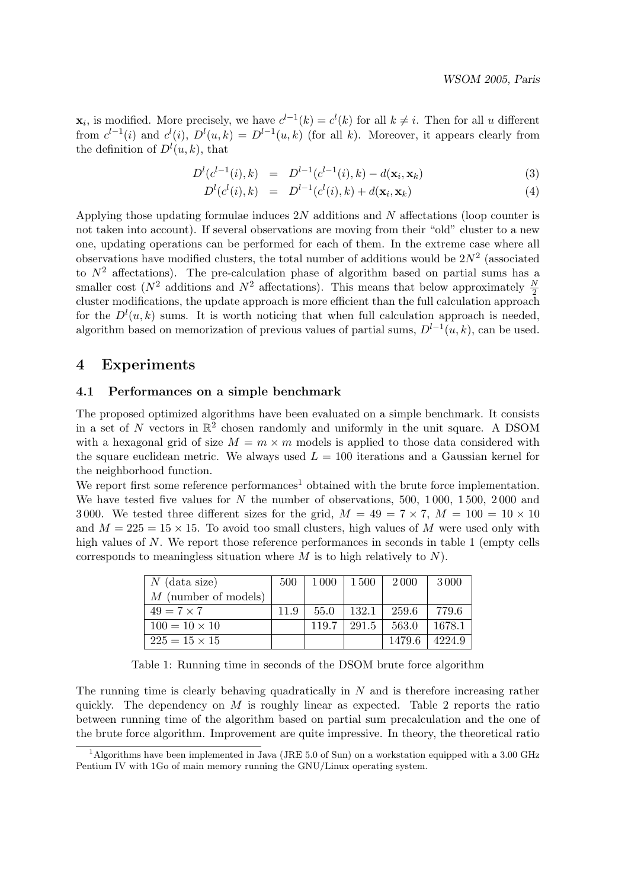$\mathbf{x}_i$ , is modified. More precisely, we have  $c^{l-1}(k) = c^l(k)$  for all  $k \neq i$ . Then for all u different from  $c^{l-1}(i)$  and  $c^{l}(i)$ ,  $D^{l}(u,k) = D^{l-1}(u,k)$  (for all k). Moreover, it appears clearly from the definition of  $D^{l}(u, k)$ , that

$$
D^{l}(c^{l-1}(i),k) = D^{l-1}(c^{l-1}(i),k) - d(\mathbf{x}_{i}, \mathbf{x}_{k})
$$
\n(3)

$$
D^{l}(c^{l}(i),k) = D^{l-1}(c^{l}(i),k) + d(\mathbf{x}_{i}, \mathbf{x}_{k})
$$
\n(4)

Applying those updating formulae induces 2N additions and N affectations (loop counter is not taken into account). If several observations are moving from their "old" cluster to a new one, updating operations can be performed for each of them. In the extreme case where all observations have modified clusters, the total number of additions would be  $2N^2$  (associated to  $N^2$  affectations). The pre-calculation phase of algorithm based on partial sums has a smaller cost ( $N^2$  additions and  $N^2$  affectations). This means that below approximately  $\frac{N}{2}$ cluster modifications, the update approach is more efficient than the full calculation approach for the  $D^{l}(u, k)$  sums. It is worth noticing that when full calculation approach is needed, algorithm based on memorization of previous values of partial sums,  $D^{l-1}(u, k)$ , can be used.

## 4 Experiments

### 4.1 Performances on a simple benchmark

The proposed optimized algorithms have been evaluated on a simple benchmark. It consists in a set of N vectors in  $\mathbb{R}^2$  chosen randomly and uniformly in the unit square. A DSOM with a hexagonal grid of size  $M = m \times m$  models is applied to those data considered with the square euclidean metric. We always used  $L = 100$  iterations and a Gaussian kernel for the neighborhood function.

We report first some reference  $performs<sup>1</sup>$  obtained with the brute force implementation. We have tested five values for N the number of observations, 500, 1000, 1500, 2000 and 3000. We tested three different sizes for the grid,  $M = 49 = 7 \times 7$ ,  $M = 100 = 10 \times 10$ and  $M = 225 = 15 \times 15$ . To avoid too small clusters, high values of M were used only with high values of N. We report those reference performances in seconds in table 1 (empty cells corresponds to meaningless situation where  $M$  is to high relatively to  $N$ ).

| $N$ (data size)        | 500  | 1 000 | - 1 500 | 2000   | 3000   |
|------------------------|------|-------|---------|--------|--------|
| $M$ (number of models) |      |       |         |        |        |
| $49 = 7 \times 7$      | 11.9 | 55.0  | 132.1   | 259.6  | 779.6  |
| $100 = 10 \times 10$   |      | 119.7 | 291.5   | 563.0  | 1678.1 |
| $225 = 15 \times 15$   |      |       |         | 1479.6 | 4224.9 |

Table 1: Running time in seconds of the DSOM brute force algorithm

The running time is clearly behaving quadratically in  $N$  and is therefore increasing rather quickly. The dependency on  $M$  is roughly linear as expected. Table 2 reports the ratio between running time of the algorithm based on partial sum precalculation and the one of the brute force algorithm. Improvement are quite impressive. In theory, the theoretical ratio

<sup>&</sup>lt;sup>1</sup>Algorithms have been implemented in Java (JRE 5.0 of Sun) on a workstation equipped with a 3.00 GHz Pentium IV with 1Go of main memory running the GNU/Linux operating system.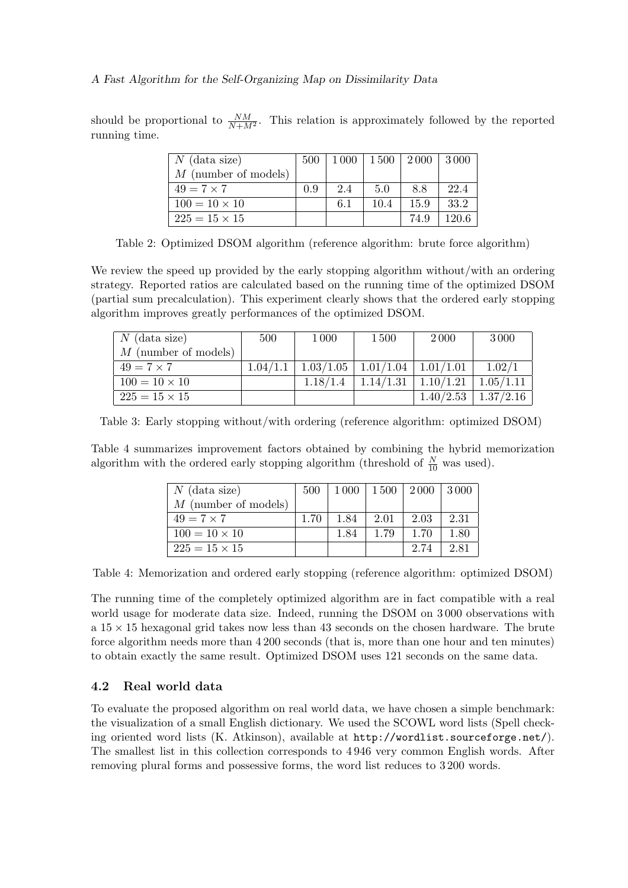should be proportional to  $\frac{NM}{N+M^2}$ . This relation is approximately followed by the reported running time.

| $N$ (data size)        | 500 | 1 000 |      | 1 500   2 000 | 3000  |
|------------------------|-----|-------|------|---------------|-------|
| $M$ (number of models) |     |       |      |               |       |
| $49 = 7 \times 7$      | 0.9 | 2.4   | 5.0  | 88            | 22.4  |
| $100 = 10 \times 10$   |     | 6.1   | 10.4 | 15.9          | 33.2  |
| $225 = 15 \times 15$   |     |       |      | 74.9          | 120.6 |

Table 2: Optimized DSOM algorithm (reference algorithm: brute force algorithm)

We review the speed up provided by the early stopping algorithm without/with an ordering strategy. Reported ratios are calculated based on the running time of the optimized DSOM (partial sum precalculation). This experiment clearly shows that the ordered early stopping algorithm improves greatly performances of the optimized DSOM.

| $N$ (data size)        | 500      | 1000     | <b>1500</b>                             | 2000      | 3000        |
|------------------------|----------|----------|-----------------------------------------|-----------|-------------|
| $M$ (number of models) |          |          |                                         |           |             |
| $49 = 7 \times 7$      | 1.04/1.1 |          | $1.03/1.05$   $1.01/1.04$   $1.01/1.01$ |           | 1.02/1      |
| $100 = 10 \times 10$   |          | 1.18/1.4 | 1.14/1.31                               | 1.10/1.21 | 1.05/1.11   |
| $225 = 15 \times 15$   |          |          |                                         | 1.40/2.53 | $1.37/2.16$ |

Table 3: Early stopping without/with ordering (reference algorithm: optimized DSOM)

Table 4 summarizes improvement factors obtained by combining the hybrid memorization algorithm with the ordered early stopping algorithm (threshold of  $\frac{N}{10}$  was used).

| $N$ (data size)        | 500  |      | $1000$   $1500$   $2000$   $3000$ |      |      |
|------------------------|------|------|-----------------------------------|------|------|
| $M$ (number of models) |      |      |                                   |      |      |
| $49 = 7 \times 7$      | 1.70 | 1.84 | 2.01                              | 2.03 | 2.31 |
| $100 = 10 \times 10$   |      | 1.84 | 1.79                              | 1.70 | 1.80 |
| $225 = 15 \times 15$   |      |      |                                   | 2.74 | 2.81 |

Table 4: Memorization and ordered early stopping (reference algorithm: optimized DSOM)

The running time of the completely optimized algorithm are in fact compatible with a real world usage for moderate data size. Indeed, running the DSOM on 3 000 observations with a  $15 \times 15$  hexagonal grid takes now less than 43 seconds on the chosen hardware. The brute force algorithm needs more than 4 200 seconds (that is, more than one hour and ten minutes) to obtain exactly the same result. Optimized DSOM uses 121 seconds on the same data.

## 4.2 Real world data

To evaluate the proposed algorithm on real world data, we have chosen a simple benchmark: the visualization of a small English dictionary. We used the SCOWL word lists (Spell checking oriented word lists (K. Atkinson), available at http://wordlist.sourceforge.net/). The smallest list in this collection corresponds to 4 946 very common English words. After removing plural forms and possessive forms, the word list reduces to 3 200 words.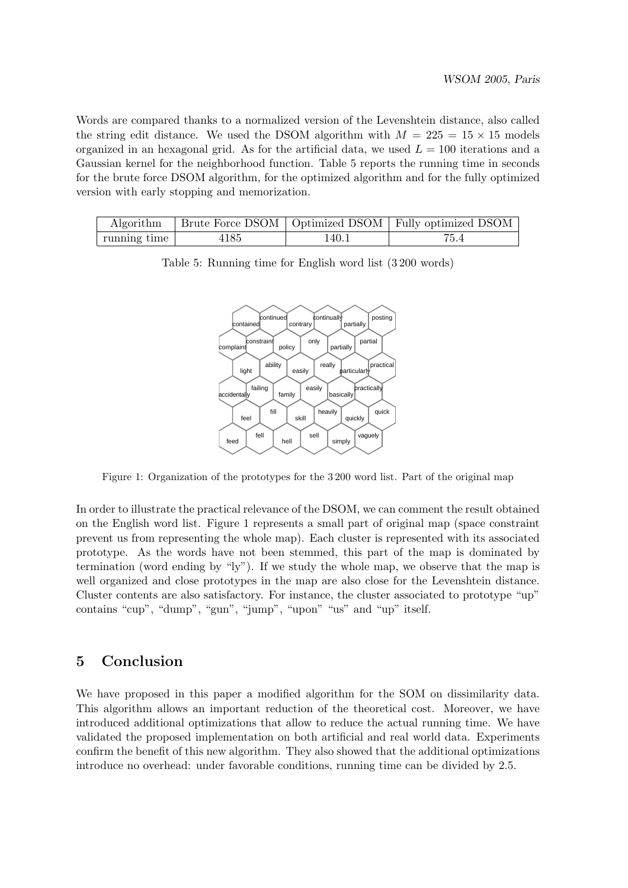Words are compared thanks to a normalized version of the Levenshtein distance, also called the string edit distance. We used the DSOM algorithm with  $M = 225 = 15 \times 15$  models organized in an hexagonal grid. As for the artificial data, we used  $L = 100$  iterations and a Gaussian kernel for the neighborhood function. Table 5 reports the running time in seconds for the brute force DSOM algorithm, for the optimized algorithm and for the fully optimized version with early stopping and memorization.

|              |      |       | Algorithm   Brute Force DSOM   Optimized DSOM   Fully optimized DSOM |
|--------------|------|-------|----------------------------------------------------------------------|
| running time | 4185 | 140.1 |                                                                      |



Table 5: Running time for English word list (3 200 words)

Figure 1: Organization of the prototypes for the 3 200 word list. Part of the original map

In order to illustrate the practical relevance of the DSOM, we can comment the result obtained on the English word list. Figure 1 represents a small part of original map (space constraint prevent us from representing the whole map). Each cluster is represented with its associated prototype. As the words have not been stemmed, this part of the map is dominated by termination (word ending by "ly"). If we study the whole map, we observe that the map is well organized and close prototypes in the map are also close for the Levenshtein distance. Cluster contents are also satisfactory. For instance, the cluster associated to prototype "up" contains "cup", "dump", "gun", "jump", "upon" "us" and "up" itself.

# 5 Conclusion

We have proposed in this paper a modified algorithm for the SOM on dissimilarity data. This algorithm allows an important reduction of the theoretical cost. Moreover, we have introduced additional optimizations that allow to reduce the actual running time. We have validated the proposed implementation on both artificial and real world data. Experiments confirm the benefit of this new algorithm. They also showed that the additional optimizations introduce no overhead: under favorable conditions, running time can be divided by 2.5.